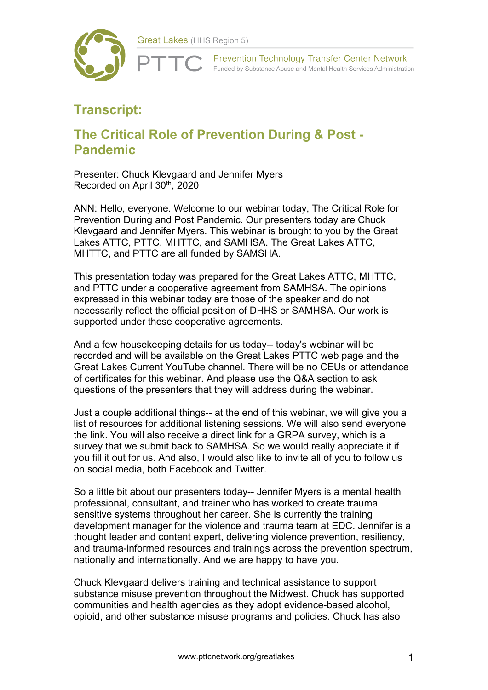

**Prevention Technology Transfer Center Network** Funded by Substance Abuse and Mental Health Services Administration

## **Transcript:**

## **The Critical Role of Prevention During & Post - Pandemic**

Presenter: Chuck Klevgaard and Jennifer Myers Recorded on April 30<sup>th</sup>, 2020

ANN: Hello, everyone. Welcome to our webinar today, The Critical Role for Prevention During and Post Pandemic. Our presenters today are Chuck Klevgaard and Jennifer Myers. This webinar is brought to you by the Great Lakes ATTC, PTTC, MHTTC, and SAMHSA. The Great Lakes ATTC, MHTTC, and PTTC are all funded by SAMSHA.

This presentation today was prepared for the Great Lakes ATTC, MHTTC, and PTTC under a cooperative agreement from SAMHSA. The opinions expressed in this webinar today are those of the speaker and do not necessarily reflect the official position of DHHS or SAMHSA. Our work is supported under these cooperative agreements.

And a few housekeeping details for us today-- today's webinar will be recorded and will be available on the Great Lakes PTTC web page and the Great Lakes Current YouTube channel. There will be no CEUs or attendance of certificates for this webinar. And please use the Q&A section to ask questions of the presenters that they will address during the webinar.

Just a couple additional things-- at the end of this webinar, we will give you a list of resources for additional listening sessions. We will also send everyone the link. You will also receive a direct link for a GRPA survey, which is a survey that we submit back to SAMHSA. So we would really appreciate it if you fill it out for us. And also, I would also like to invite all of you to follow us on social media, both Facebook and Twitter.

So a little bit about our presenters today-- Jennifer Myers is a mental health professional, consultant, and trainer who has worked to create trauma sensitive systems throughout her career. She is currently the training development manager for the violence and trauma team at EDC. Jennifer is a thought leader and content expert, delivering violence prevention, resiliency, and trauma-informed resources and trainings across the prevention spectrum, nationally and internationally. And we are happy to have you.

Chuck Klevgaard delivers training and technical assistance to support substance misuse prevention throughout the Midwest. Chuck has supported communities and health agencies as they adopt evidence-based alcohol, opioid, and other substance misuse programs and policies. Chuck has also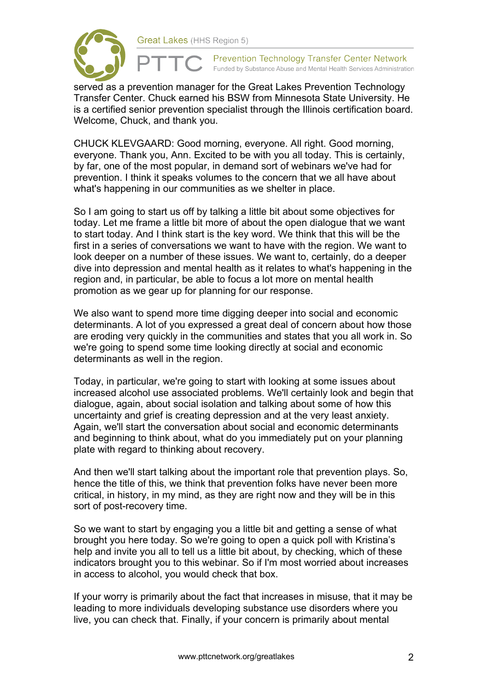

served as a prevention manager for the Great Lakes Prevention Technology Transfer Center. Chuck earned his BSW from Minnesota State University. He is a certified senior prevention specialist through the Illinois certification board. Welcome, Chuck, and thank you.

CHUCK KLEVGAARD: Good morning, everyone. All right. Good morning, everyone. Thank you, Ann. Excited to be with you all today. This is certainly, by far, one of the most popular, in demand sort of webinars we've had for prevention. I think it speaks volumes to the concern that we all have about what's happening in our communities as we shelter in place.

So I am going to start us off by talking a little bit about some objectives for today. Let me frame a little bit more of about the open dialogue that we want to start today. And I think start is the key word. We think that this will be the first in a series of conversations we want to have with the region. We want to look deeper on a number of these issues. We want to, certainly, do a deeper dive into depression and mental health as it relates to what's happening in the region and, in particular, be able to focus a lot more on mental health promotion as we gear up for planning for our response.

We also want to spend more time digging deeper into social and economic determinants. A lot of you expressed a great deal of concern about how those are eroding very quickly in the communities and states that you all work in. So we're going to spend some time looking directly at social and economic determinants as well in the region.

Today, in particular, we're going to start with looking at some issues about increased alcohol use associated problems. We'll certainly look and begin that dialogue, again, about social isolation and talking about some of how this uncertainty and grief is creating depression and at the very least anxiety. Again, we'll start the conversation about social and economic determinants and beginning to think about, what do you immediately put on your planning plate with regard to thinking about recovery.

And then we'll start talking about the important role that prevention plays. So, hence the title of this, we think that prevention folks have never been more critical, in history, in my mind, as they are right now and they will be in this sort of post-recovery time.

So we want to start by engaging you a little bit and getting a sense of what brought you here today. So we're going to open a quick poll with Kristina's help and invite you all to tell us a little bit about, by checking, which of these indicators brought you to this webinar. So if I'm most worried about increases in access to alcohol, you would check that box.

If your worry is primarily about the fact that increases in misuse, that it may be leading to more individuals developing substance use disorders where you live, you can check that. Finally, if your concern is primarily about mental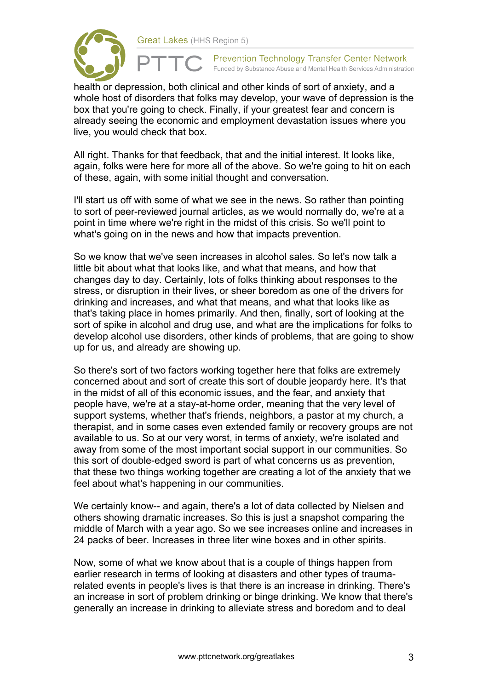

health or depression, both clinical and other kinds of sort of anxiety, and a whole host of disorders that folks may develop, your wave of depression is the box that you're going to check. Finally, if your greatest fear and concern is already seeing the economic and employment devastation issues where you live, you would check that box.

All right. Thanks for that feedback, that and the initial interest. It looks like, again, folks were here for more all of the above. So we're going to hit on each of these, again, with some initial thought and conversation.

I'll start us off with some of what we see in the news. So rather than pointing to sort of peer-reviewed journal articles, as we would normally do, we're at a point in time where we're right in the midst of this crisis. So we'll point to what's going on in the news and how that impacts prevention.

So we know that we've seen increases in alcohol sales. So let's now talk a little bit about what that looks like, and what that means, and how that changes day to day. Certainly, lots of folks thinking about responses to the stress, or disruption in their lives, or sheer boredom as one of the drivers for drinking and increases, and what that means, and what that looks like as that's taking place in homes primarily. And then, finally, sort of looking at the sort of spike in alcohol and drug use, and what are the implications for folks to develop alcohol use disorders, other kinds of problems, that are going to show up for us, and already are showing up.

So there's sort of two factors working together here that folks are extremely concerned about and sort of create this sort of double jeopardy here. It's that in the midst of all of this economic issues, and the fear, and anxiety that people have, we're at a stay-at-home order, meaning that the very level of support systems, whether that's friends, neighbors, a pastor at my church, a therapist, and in some cases even extended family or recovery groups are not available to us. So at our very worst, in terms of anxiety, we're isolated and away from some of the most important social support in our communities. So this sort of double-edged sword is part of what concerns us as prevention, that these two things working together are creating a lot of the anxiety that we feel about what's happening in our communities.

We certainly know-- and again, there's a lot of data collected by Nielsen and others showing dramatic increases. So this is just a snapshot comparing the middle of March with a year ago. So we see increases online and increases in 24 packs of beer. Increases in three liter wine boxes and in other spirits.

Now, some of what we know about that is a couple of things happen from earlier research in terms of looking at disasters and other types of traumarelated events in people's lives is that there is an increase in drinking. There's an increase in sort of problem drinking or binge drinking. We know that there's generally an increase in drinking to alleviate stress and boredom and to deal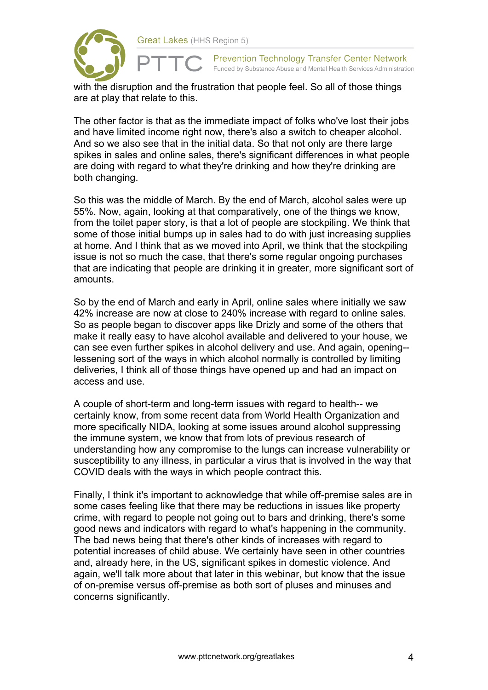

with the disruption and the frustration that people feel. So all of those things are at play that relate to this.

The other factor is that as the immediate impact of folks who've lost their jobs and have limited income right now, there's also a switch to cheaper alcohol. And so we also see that in the initial data. So that not only are there large spikes in sales and online sales, there's significant differences in what people are doing with regard to what they're drinking and how they're drinking are both changing.

So this was the middle of March. By the end of March, alcohol sales were up 55%. Now, again, looking at that comparatively, one of the things we know, from the toilet paper story, is that a lot of people are stockpiling. We think that some of those initial bumps up in sales had to do with just increasing supplies at home. And I think that as we moved into April, we think that the stockpiling issue is not so much the case, that there's some regular ongoing purchases that are indicating that people are drinking it in greater, more significant sort of amounts.

So by the end of March and early in April, online sales where initially we saw 42% increase are now at close to 240% increase with regard to online sales. So as people began to discover apps like Drizly and some of the others that make it really easy to have alcohol available and delivered to your house, we can see even further spikes in alcohol delivery and use. And again, opening- lessening sort of the ways in which alcohol normally is controlled by limiting deliveries, I think all of those things have opened up and had an impact on access and use.

A couple of short-term and long-term issues with regard to health-- we certainly know, from some recent data from World Health Organization and more specifically NIDA, looking at some issues around alcohol suppressing the immune system, we know that from lots of previous research of understanding how any compromise to the lungs can increase vulnerability or susceptibility to any illness, in particular a virus that is involved in the way that COVID deals with the ways in which people contract this.

Finally, I think it's important to acknowledge that while off-premise sales are in some cases feeling like that there may be reductions in issues like property crime, with regard to people not going out to bars and drinking, there's some good news and indicators with regard to what's happening in the community. The bad news being that there's other kinds of increases with regard to potential increases of child abuse. We certainly have seen in other countries and, already here, in the US, significant spikes in domestic violence. And again, we'll talk more about that later in this webinar, but know that the issue of on-premise versus off-premise as both sort of pluses and minuses and concerns significantly.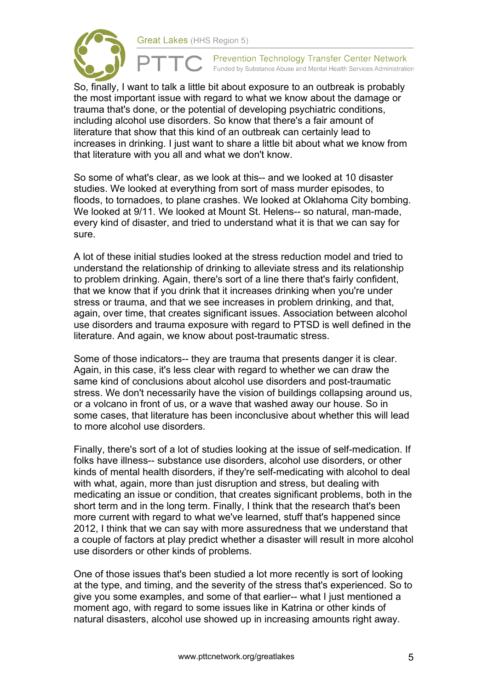



So, finally, I want to talk a little bit about exposure to an outbreak is probably the most important issue with regard to what we know about the damage or trauma that's done, or the potential of developing psychiatric conditions, including alcohol use disorders. So know that there's a fair amount of literature that show that this kind of an outbreak can certainly lead to increases in drinking. I just want to share a little bit about what we know from that literature with you all and what we don't know.

So some of what's clear, as we look at this-- and we looked at 10 disaster studies. We looked at everything from sort of mass murder episodes, to floods, to tornadoes, to plane crashes. We looked at Oklahoma City bombing. We looked at 9/11. We looked at Mount St. Helens-- so natural, man-made, every kind of disaster, and tried to understand what it is that we can say for sure.

A lot of these initial studies looked at the stress reduction model and tried to understand the relationship of drinking to alleviate stress and its relationship to problem drinking. Again, there's sort of a line there that's fairly confident, that we know that if you drink that it increases drinking when you're under stress or trauma, and that we see increases in problem drinking, and that, again, over time, that creates significant issues. Association between alcohol use disorders and trauma exposure with regard to PTSD is well defined in the literature. And again, we know about post-traumatic stress.

Some of those indicators-- they are trauma that presents danger it is clear. Again, in this case, it's less clear with regard to whether we can draw the same kind of conclusions about alcohol use disorders and post-traumatic stress. We don't necessarily have the vision of buildings collapsing around us, or a volcano in front of us, or a wave that washed away our house. So in some cases, that literature has been inconclusive about whether this will lead to more alcohol use disorders.

Finally, there's sort of a lot of studies looking at the issue of self-medication. If folks have illness-- substance use disorders, alcohol use disorders, or other kinds of mental health disorders, if they're self-medicating with alcohol to deal with what, again, more than just disruption and stress, but dealing with medicating an issue or condition, that creates significant problems, both in the short term and in the long term. Finally, I think that the research that's been more current with regard to what we've learned, stuff that's happened since 2012, I think that we can say with more assuredness that we understand that a couple of factors at play predict whether a disaster will result in more alcohol use disorders or other kinds of problems.

One of those issues that's been studied a lot more recently is sort of looking at the type, and timing, and the severity of the stress that's experienced. So to give you some examples, and some of that earlier-- what I just mentioned a moment ago, with regard to some issues like in Katrina or other kinds of natural disasters, alcohol use showed up in increasing amounts right away.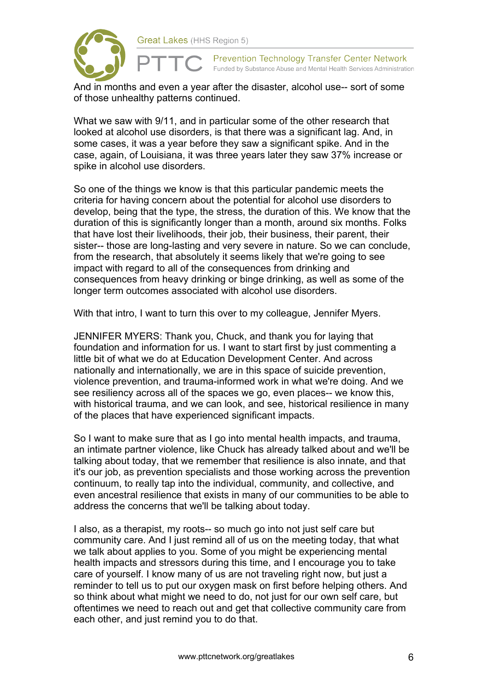

And in months and even a year after the disaster, alcohol use-- sort of some of those unhealthy patterns continued.

What we saw with 9/11, and in particular some of the other research that looked at alcohol use disorders, is that there was a significant lag. And, in some cases, it was a year before they saw a significant spike. And in the case, again, of Louisiana, it was three years later they saw 37% increase or spike in alcohol use disorders.

So one of the things we know is that this particular pandemic meets the criteria for having concern about the potential for alcohol use disorders to develop, being that the type, the stress, the duration of this. We know that the duration of this is significantly longer than a month, around six months. Folks that have lost their livelihoods, their job, their business, their parent, their sister-- those are long-lasting and very severe in nature. So we can conclude, from the research, that absolutely it seems likely that we're going to see impact with regard to all of the consequences from drinking and consequences from heavy drinking or binge drinking, as well as some of the longer term outcomes associated with alcohol use disorders.

With that intro, I want to turn this over to my colleague, Jennifer Myers.

JENNIFER MYERS: Thank you, Chuck, and thank you for laying that foundation and information for us. I want to start first by just commenting a little bit of what we do at Education Development Center. And across nationally and internationally, we are in this space of suicide prevention, violence prevention, and trauma-informed work in what we're doing. And we see resiliency across all of the spaces we go, even places-- we know this, with historical trauma, and we can look, and see, historical resilience in many of the places that have experienced significant impacts.

So I want to make sure that as I go into mental health impacts, and trauma, an intimate partner violence, like Chuck has already talked about and we'll be talking about today, that we remember that resilience is also innate, and that it's our job, as prevention specialists and those working across the prevention continuum, to really tap into the individual, community, and collective, and even ancestral resilience that exists in many of our communities to be able to address the concerns that we'll be talking about today.

I also, as a therapist, my roots-- so much go into not just self care but community care. And I just remind all of us on the meeting today, that what we talk about applies to you. Some of you might be experiencing mental health impacts and stressors during this time, and I encourage you to take care of yourself. I know many of us are not traveling right now, but just a reminder to tell us to put our oxygen mask on first before helping others. And so think about what might we need to do, not just for our own self care, but oftentimes we need to reach out and get that collective community care from each other, and just remind you to do that.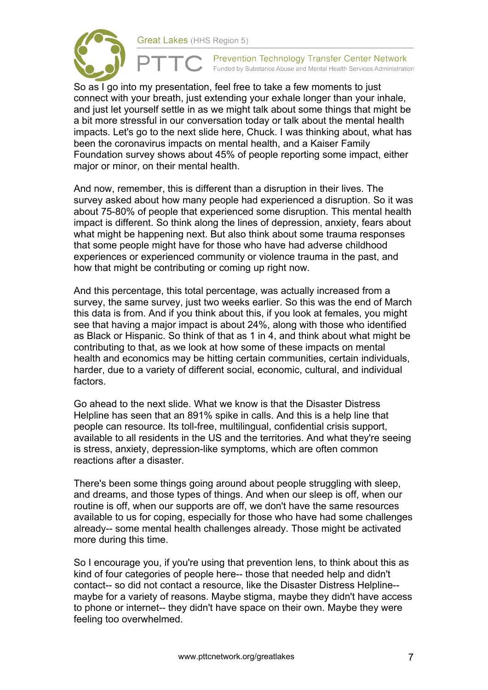

**Prevention Technology Transfer Center Network** Funded by Substance Abuse and Mental Health Services Administration

So as I go into my presentation, feel free to take a few moments to just connect with your breath, just extending your exhale longer than your inhale, and just let yourself settle in as we might talk about some things that might be a bit more stressful in our conversation today or talk about the mental health impacts. Let's go to the next slide here, Chuck. I was thinking about, what has been the coronavirus impacts on mental health, and a Kaiser Family Foundation survey shows about 45% of people reporting some impact, either major or minor, on their mental health.

And now, remember, this is different than a disruption in their lives. The survey asked about how many people had experienced a disruption. So it was about 75-80% of people that experienced some disruption. This mental health impact is different. So think along the lines of depression, anxiety, fears about what might be happening next. But also think about some trauma responses that some people might have for those who have had adverse childhood experiences or experienced community or violence trauma in the past, and how that might be contributing or coming up right now.

And this percentage, this total percentage, was actually increased from a survey, the same survey, just two weeks earlier. So this was the end of March this data is from. And if you think about this, if you look at females, you might see that having a major impact is about 24%, along with those who identified as Black or Hispanic. So think of that as 1 in 4, and think about what might be contributing to that, as we look at how some of these impacts on mental health and economics may be hitting certain communities, certain individuals, harder, due to a variety of different social, economic, cultural, and individual factors.

Go ahead to the next slide. What we know is that the Disaster Distress Helpline has seen that an 891% spike in calls. And this is a help line that people can resource. Its toll-free, multilingual, confidential crisis support, available to all residents in the US and the territories. And what they're seeing is stress, anxiety, depression-like symptoms, which are often common reactions after a disaster.

There's been some things going around about people struggling with sleep, and dreams, and those types of things. And when our sleep is off, when our routine is off, when our supports are off, we don't have the same resources available to us for coping, especially for those who have had some challenges already-- some mental health challenges already. Those might be activated more during this time.

So I encourage you, if you're using that prevention lens, to think about this as kind of four categories of people here-- those that needed help and didn't contact-- so did not contact a resource, like the Disaster Distress Helpline- maybe for a variety of reasons. Maybe stigma, maybe they didn't have access to phone or internet-- they didn't have space on their own. Maybe they were feeling too overwhelmed.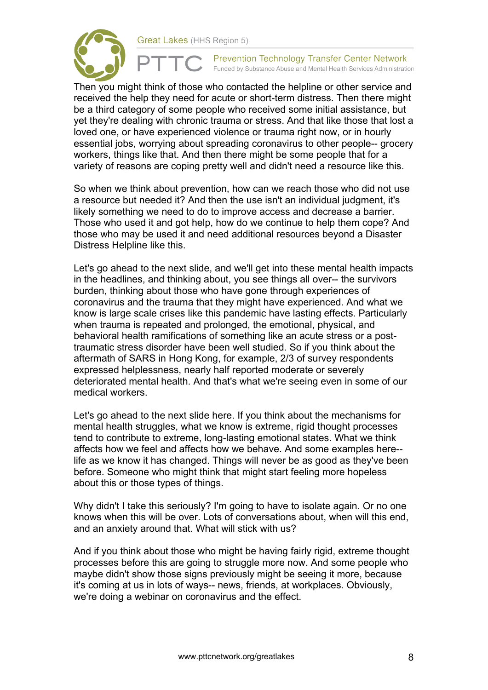

**Prevention Technology Transfer Center Network** Funded by Substance Abuse and Mental Health Services Administration

Then you might think of those who contacted the helpline or other service and received the help they need for acute or short-term distress. Then there might be a third category of some people who received some initial assistance, but yet they're dealing with chronic trauma or stress. And that like those that lost a loved one, or have experienced violence or trauma right now, or in hourly essential jobs, worrying about spreading coronavirus to other people-- grocery workers, things like that. And then there might be some people that for a variety of reasons are coping pretty well and didn't need a resource like this.

So when we think about prevention, how can we reach those who did not use a resource but needed it? And then the use isn't an individual judgment, it's likely something we need to do to improve access and decrease a barrier. Those who used it and got help, how do we continue to help them cope? And those who may be used it and need additional resources beyond a Disaster Distress Helpline like this.

Let's go ahead to the next slide, and we'll get into these mental health impacts in the headlines, and thinking about, you see things all over-- the survivors burden, thinking about those who have gone through experiences of coronavirus and the trauma that they might have experienced. And what we know is large scale crises like this pandemic have lasting effects. Particularly when trauma is repeated and prolonged, the emotional, physical, and behavioral health ramifications of something like an acute stress or a posttraumatic stress disorder have been well studied. So if you think about the aftermath of SARS in Hong Kong, for example, 2/3 of survey respondents expressed helplessness, nearly half reported moderate or severely deteriorated mental health. And that's what we're seeing even in some of our medical workers.

Let's go ahead to the next slide here. If you think about the mechanisms for mental health struggles, what we know is extreme, rigid thought processes tend to contribute to extreme, long-lasting emotional states. What we think affects how we feel and affects how we behave. And some examples here- life as we know it has changed. Things will never be as good as they've been before. Someone who might think that might start feeling more hopeless about this or those types of things.

Why didn't I take this seriously? I'm going to have to isolate again. Or no one knows when this will be over. Lots of conversations about, when will this end, and an anxiety around that. What will stick with us?

And if you think about those who might be having fairly rigid, extreme thought processes before this are going to struggle more now. And some people who maybe didn't show those signs previously might be seeing it more, because it's coming at us in lots of ways-- news, friends, at workplaces. Obviously, we're doing a webinar on coronavirus and the effect.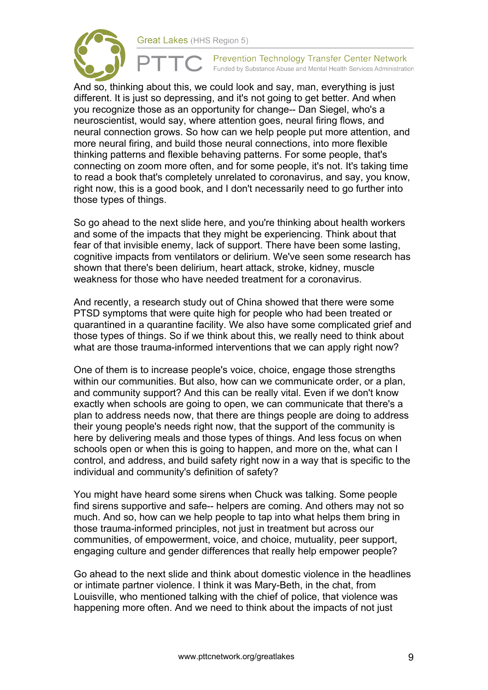



And so, thinking about this, we could look and say, man, everything is just different. It is just so depressing, and it's not going to get better. And when you recognize those as an opportunity for change-- Dan Siegel, who's a neuroscientist, would say, where attention goes, neural firing flows, and neural connection grows. So how can we help people put more attention, and more neural firing, and build those neural connections, into more flexible thinking patterns and flexible behaving patterns. For some people, that's connecting on zoom more often, and for some people, it's not. It's taking time to read a book that's completely unrelated to coronavirus, and say, you know, right now, this is a good book, and I don't necessarily need to go further into those types of things.

So go ahead to the next slide here, and you're thinking about health workers and some of the impacts that they might be experiencing. Think about that fear of that invisible enemy, lack of support. There have been some lasting, cognitive impacts from ventilators or delirium. We've seen some research has shown that there's been delirium, heart attack, stroke, kidney, muscle weakness for those who have needed treatment for a coronavirus.

And recently, a research study out of China showed that there were some PTSD symptoms that were quite high for people who had been treated or quarantined in a quarantine facility. We also have some complicated grief and those types of things. So if we think about this, we really need to think about what are those trauma-informed interventions that we can apply right now?

One of them is to increase people's voice, choice, engage those strengths within our communities. But also, how can we communicate order, or a plan, and community support? And this can be really vital. Even if we don't know exactly when schools are going to open, we can communicate that there's a plan to address needs now, that there are things people are doing to address their young people's needs right now, that the support of the community is here by delivering meals and those types of things. And less focus on when schools open or when this is going to happen, and more on the, what can I control, and address, and build safety right now in a way that is specific to the individual and community's definition of safety?

You might have heard some sirens when Chuck was talking. Some people find sirens supportive and safe-- helpers are coming. And others may not so much. And so, how can we help people to tap into what helps them bring in those trauma-informed principles, not just in treatment but across our communities, of empowerment, voice, and choice, mutuality, peer support, engaging culture and gender differences that really help empower people?

Go ahead to the next slide and think about domestic violence in the headlines or intimate partner violence. I think it was Mary-Beth, in the chat, from Louisville, who mentioned talking with the chief of police, that violence was happening more often. And we need to think about the impacts of not just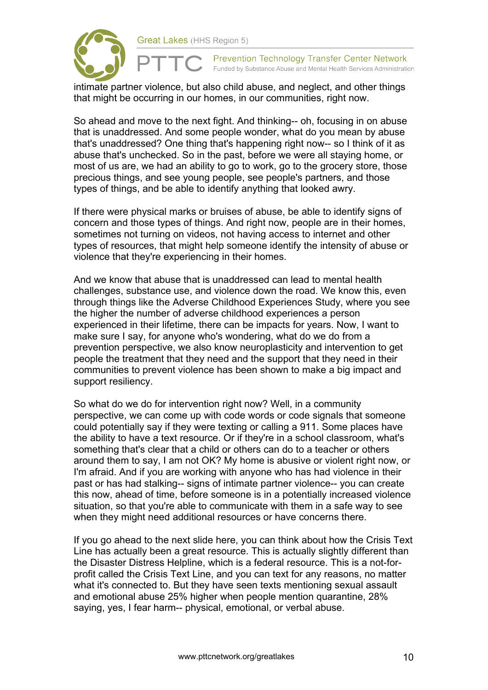

intimate partner violence, but also child abuse, and neglect, and other things that might be occurring in our homes, in our communities, right now.

So ahead and move to the next fight. And thinking-- oh, focusing in on abuse that is unaddressed. And some people wonder, what do you mean by abuse that's unaddressed? One thing that's happening right now-- so I think of it as abuse that's unchecked. So in the past, before we were all staying home, or most of us are, we had an ability to go to work, go to the grocery store, those precious things, and see young people, see people's partners, and those types of things, and be able to identify anything that looked awry.

If there were physical marks or bruises of abuse, be able to identify signs of concern and those types of things. And right now, people are in their homes, sometimes not turning on videos, not having access to internet and other types of resources, that might help someone identify the intensity of abuse or violence that they're experiencing in their homes.

And we know that abuse that is unaddressed can lead to mental health challenges, substance use, and violence down the road. We know this, even through things like the Adverse Childhood Experiences Study, where you see the higher the number of adverse childhood experiences a person experienced in their lifetime, there can be impacts for years. Now, I want to make sure I say, for anyone who's wondering, what do we do from a prevention perspective, we also know neuroplasticity and intervention to get people the treatment that they need and the support that they need in their communities to prevent violence has been shown to make a big impact and support resiliency.

So what do we do for intervention right now? Well, in a community perspective, we can come up with code words or code signals that someone could potentially say if they were texting or calling a 911. Some places have the ability to have a text resource. Or if they're in a school classroom, what's something that's clear that a child or others can do to a teacher or others around them to say, I am not OK? My home is abusive or violent right now, or I'm afraid. And if you are working with anyone who has had violence in their past or has had stalking-- signs of intimate partner violence-- you can create this now, ahead of time, before someone is in a potentially increased violence situation, so that you're able to communicate with them in a safe way to see when they might need additional resources or have concerns there.

If you go ahead to the next slide here, you can think about how the Crisis Text Line has actually been a great resource. This is actually slightly different than the Disaster Distress Helpline, which is a federal resource. This is a not-forprofit called the Crisis Text Line, and you can text for any reasons, no matter what it's connected to. But they have seen texts mentioning sexual assault and emotional abuse 25% higher when people mention quarantine, 28% saying, yes, I fear harm-- physical, emotional, or verbal abuse.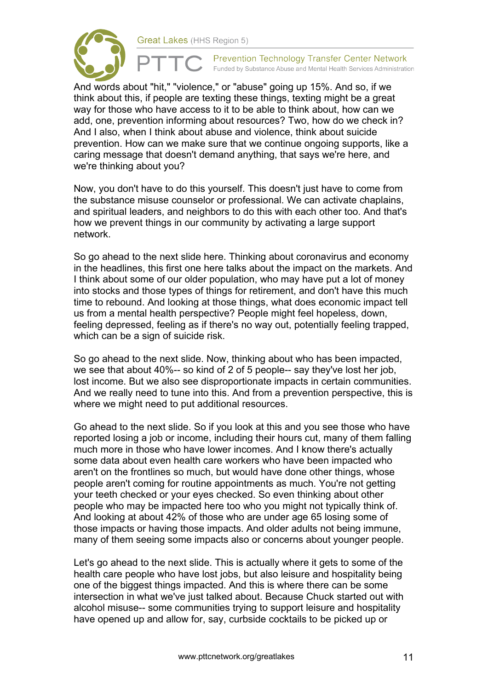



And words about "hit," "violence," or "abuse" going up 15%. And so, if we think about this, if people are texting these things, texting might be a great way for those who have access to it to be able to think about, how can we add, one, prevention informing about resources? Two, how do we check in? And I also, when I think about abuse and violence, think about suicide prevention. How can we make sure that we continue ongoing supports, like a caring message that doesn't demand anything, that says we're here, and we're thinking about you?

Now, you don't have to do this yourself. This doesn't just have to come from the substance misuse counselor or professional. We can activate chaplains, and spiritual leaders, and neighbors to do this with each other too. And that's how we prevent things in our community by activating a large support network.

So go ahead to the next slide here. Thinking about coronavirus and economy in the headlines, this first one here talks about the impact on the markets. And I think about some of our older population, who may have put a lot of money into stocks and those types of things for retirement, and don't have this much time to rebound. And looking at those things, what does economic impact tell us from a mental health perspective? People might feel hopeless, down, feeling depressed, feeling as if there's no way out, potentially feeling trapped, which can be a sign of suicide risk.

So go ahead to the next slide. Now, thinking about who has been impacted, we see that about 40%-- so kind of 2 of 5 people-- say they've lost her job, lost income. But we also see disproportionate impacts in certain communities. And we really need to tune into this. And from a prevention perspective, this is where we might need to put additional resources.

Go ahead to the next slide. So if you look at this and you see those who have reported losing a job or income, including their hours cut, many of them falling much more in those who have lower incomes. And I know there's actually some data about even health care workers who have been impacted who aren't on the frontlines so much, but would have done other things, whose people aren't coming for routine appointments as much. You're not getting your teeth checked or your eyes checked. So even thinking about other people who may be impacted here too who you might not typically think of. And looking at about 42% of those who are under age 65 losing some of those impacts or having those impacts. And older adults not being immune, many of them seeing some impacts also or concerns about younger people.

Let's go ahead to the next slide. This is actually where it gets to some of the health care people who have lost jobs, but also leisure and hospitality being one of the biggest things impacted. And this is where there can be some intersection in what we've just talked about. Because Chuck started out with alcohol misuse-- some communities trying to support leisure and hospitality have opened up and allow for, say, curbside cocktails to be picked up or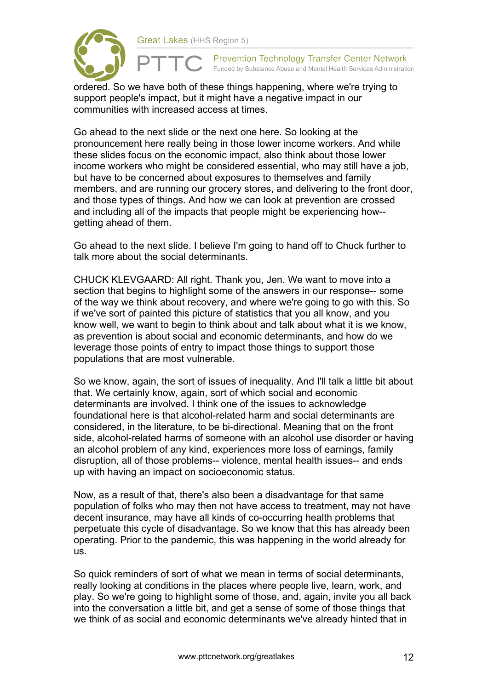

ordered. So we have both of these things happening, where we're trying to support people's impact, but it might have a negative impact in our communities with increased access at times.

Go ahead to the next slide or the next one here. So looking at the pronouncement here really being in those lower income workers. And while these slides focus on the economic impact, also think about those lower income workers who might be considered essential, who may still have a job, but have to be concerned about exposures to themselves and family members, and are running our grocery stores, and delivering to the front door, and those types of things. And how we can look at prevention are crossed and including all of the impacts that people might be experiencing how- getting ahead of them.

Go ahead to the next slide. I believe I'm going to hand off to Chuck further to talk more about the social determinants.

CHUCK KLEVGAARD: All right. Thank you, Jen. We want to move into a section that begins to highlight some of the answers in our response-- some of the way we think about recovery, and where we're going to go with this. So if we've sort of painted this picture of statistics that you all know, and you know well, we want to begin to think about and talk about what it is we know, as prevention is about social and economic determinants, and how do we leverage those points of entry to impact those things to support those populations that are most vulnerable.

So we know, again, the sort of issues of inequality. And I'll talk a little bit about that. We certainly know, again, sort of which social and economic determinants are involved. I think one of the issues to acknowledge foundational here is that alcohol-related harm and social determinants are considered, in the literature, to be bi-directional. Meaning that on the front side, alcohol-related harms of someone with an alcohol use disorder or having an alcohol problem of any kind, experiences more loss of earnings, family disruption, all of those problems-- violence, mental health issues-- and ends up with having an impact on socioeconomic status.

Now, as a result of that, there's also been a disadvantage for that same population of folks who may then not have access to treatment, may not have decent insurance, may have all kinds of co-occurring health problems that perpetuate this cycle of disadvantage. So we know that this has already been operating. Prior to the pandemic, this was happening in the world already for us.

So quick reminders of sort of what we mean in terms of social determinants, really looking at conditions in the places where people live, learn, work, and play. So we're going to highlight some of those, and, again, invite you all back into the conversation a little bit, and get a sense of some of those things that we think of as social and economic determinants we've already hinted that in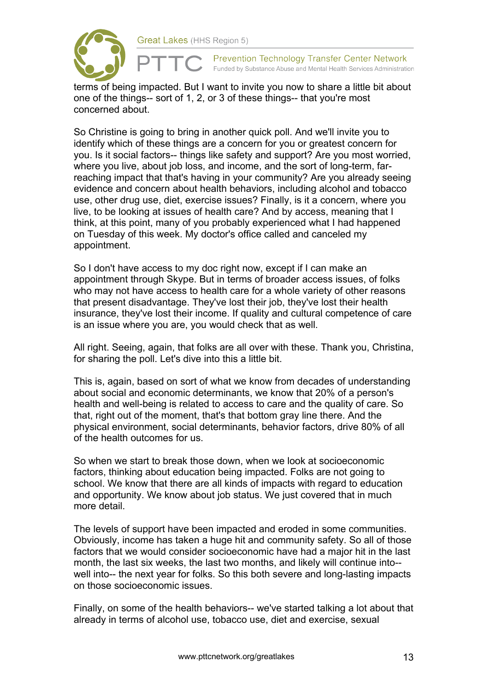

terms of being impacted. But I want to invite you now to share a little bit about one of the things-- sort of 1, 2, or 3 of these things-- that you're most concerned about.

So Christine is going to bring in another quick poll. And we'll invite you to identify which of these things are a concern for you or greatest concern for you. Is it social factors-- things like safety and support? Are you most worried, where you live, about job loss, and income, and the sort of long-term, farreaching impact that that's having in your community? Are you already seeing evidence and concern about health behaviors, including alcohol and tobacco use, other drug use, diet, exercise issues? Finally, is it a concern, where you live, to be looking at issues of health care? And by access, meaning that I think, at this point, many of you probably experienced what I had happened on Tuesday of this week. My doctor's office called and canceled my appointment.

So I don't have access to my doc right now, except if I can make an appointment through Skype. But in terms of broader access issues, of folks who may not have access to health care for a whole variety of other reasons that present disadvantage. They've lost their job, they've lost their health insurance, they've lost their income. If quality and cultural competence of care is an issue where you are, you would check that as well.

All right. Seeing, again, that folks are all over with these. Thank you, Christina, for sharing the poll. Let's dive into this a little bit.

This is, again, based on sort of what we know from decades of understanding about social and economic determinants, we know that 20% of a person's health and well-being is related to access to care and the quality of care. So that, right out of the moment, that's that bottom gray line there. And the physical environment, social determinants, behavior factors, drive 80% of all of the health outcomes for us.

So when we start to break those down, when we look at socioeconomic factors, thinking about education being impacted. Folks are not going to school. We know that there are all kinds of impacts with regard to education and opportunity. We know about job status. We just covered that in much more detail.

The levels of support have been impacted and eroded in some communities. Obviously, income has taken a huge hit and community safety. So all of those factors that we would consider socioeconomic have had a major hit in the last month, the last six weeks, the last two months, and likely will continue into- well into-- the next year for folks. So this both severe and long-lasting impacts on those socioeconomic issues.

Finally, on some of the health behaviors-- we've started talking a lot about that already in terms of alcohol use, tobacco use, diet and exercise, sexual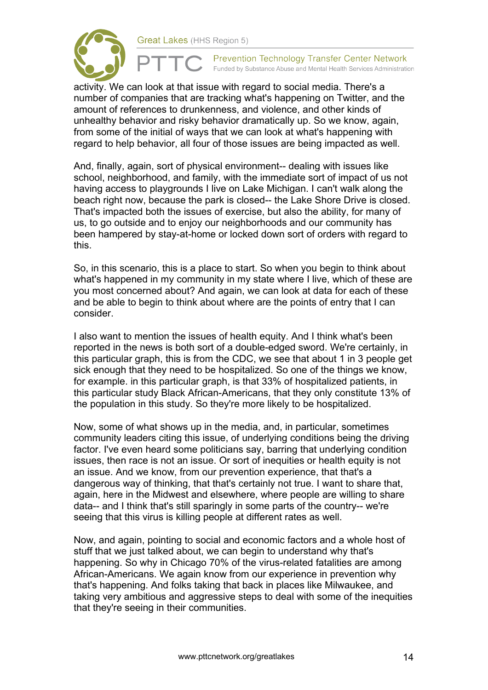



activity. We can look at that issue with regard to social media. There's a number of companies that are tracking what's happening on Twitter, and the amount of references to drunkenness, and violence, and other kinds of unhealthy behavior and risky behavior dramatically up. So we know, again, from some of the initial of ways that we can look at what's happening with regard to help behavior, all four of those issues are being impacted as well.

And, finally, again, sort of physical environment-- dealing with issues like school, neighborhood, and family, with the immediate sort of impact of us not having access to playgrounds I live on Lake Michigan. I can't walk along the beach right now, because the park is closed-- the Lake Shore Drive is closed. That's impacted both the issues of exercise, but also the ability, for many of us, to go outside and to enjoy our neighborhoods and our community has been hampered by stay-at-home or locked down sort of orders with regard to this.

So, in this scenario, this is a place to start. So when you begin to think about what's happened in my community in my state where I live, which of these are you most concerned about? And again, we can look at data for each of these and be able to begin to think about where are the points of entry that I can consider.

I also want to mention the issues of health equity. And I think what's been reported in the news is both sort of a double-edged sword. We're certainly, in this particular graph, this is from the CDC, we see that about 1 in 3 people get sick enough that they need to be hospitalized. So one of the things we know, for example. in this particular graph, is that 33% of hospitalized patients, in this particular study Black African-Americans, that they only constitute 13% of the population in this study. So they're more likely to be hospitalized.

Now, some of what shows up in the media, and, in particular, sometimes community leaders citing this issue, of underlying conditions being the driving factor. I've even heard some politicians say, barring that underlying condition issues, then race is not an issue. Or sort of inequities or health equity is not an issue. And we know, from our prevention experience, that that's a dangerous way of thinking, that that's certainly not true. I want to share that, again, here in the Midwest and elsewhere, where people are willing to share data-- and I think that's still sparingly in some parts of the country-- we're seeing that this virus is killing people at different rates as well.

Now, and again, pointing to social and economic factors and a whole host of stuff that we just talked about, we can begin to understand why that's happening. So why in Chicago 70% of the virus-related fatalities are among African-Americans. We again know from our experience in prevention why that's happening. And folks taking that back in places like Milwaukee, and taking very ambitious and aggressive steps to deal with some of the inequities that they're seeing in their communities.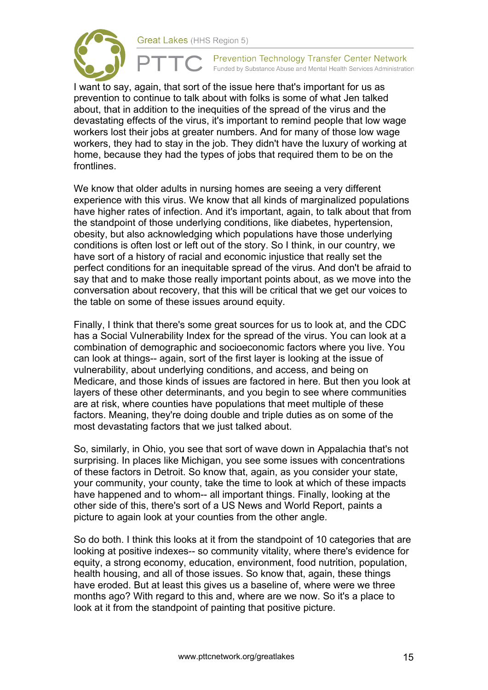

Prevention Technology Transfer Center Network Funded by Substance Abuse and Mental Health Services Administration

I want to say, again, that sort of the issue here that's important for us as prevention to continue to talk about with folks is some of what Jen talked about, that in addition to the inequities of the spread of the virus and the devastating effects of the virus, it's important to remind people that low wage workers lost their jobs at greater numbers. And for many of those low wage workers, they had to stay in the job. They didn't have the luxury of working at home, because they had the types of jobs that required them to be on the frontlines.

We know that older adults in nursing homes are seeing a very different experience with this virus. We know that all kinds of marginalized populations have higher rates of infection. And it's important, again, to talk about that from the standpoint of those underlying conditions, like diabetes, hypertension, obesity, but also acknowledging which populations have those underlying conditions is often lost or left out of the story. So I think, in our country, we have sort of a history of racial and economic injustice that really set the perfect conditions for an inequitable spread of the virus. And don't be afraid to say that and to make those really important points about, as we move into the conversation about recovery, that this will be critical that we get our voices to the table on some of these issues around equity.

Finally, I think that there's some great sources for us to look at, and the CDC has a Social Vulnerability Index for the spread of the virus. You can look at a combination of demographic and socioeconomic factors where you live. You can look at things-- again, sort of the first layer is looking at the issue of vulnerability, about underlying conditions, and access, and being on Medicare, and those kinds of issues are factored in here. But then you look at layers of these other determinants, and you begin to see where communities are at risk, where counties have populations that meet multiple of these factors. Meaning, they're doing double and triple duties as on some of the most devastating factors that we just talked about.

So, similarly, in Ohio, you see that sort of wave down in Appalachia that's not surprising. In places like Michigan, you see some issues with concentrations of these factors in Detroit. So know that, again, as you consider your state, your community, your county, take the time to look at which of these impacts have happened and to whom-- all important things. Finally, looking at the other side of this, there's sort of a US News and World Report, paints a picture to again look at your counties from the other angle.

So do both. I think this looks at it from the standpoint of 10 categories that are looking at positive indexes-- so community vitality, where there's evidence for equity, a strong economy, education, environment, food nutrition, population, health housing, and all of those issues. So know that, again, these things have eroded. But at least this gives us a baseline of, where were we three months ago? With regard to this and, where are we now. So it's a place to look at it from the standpoint of painting that positive picture.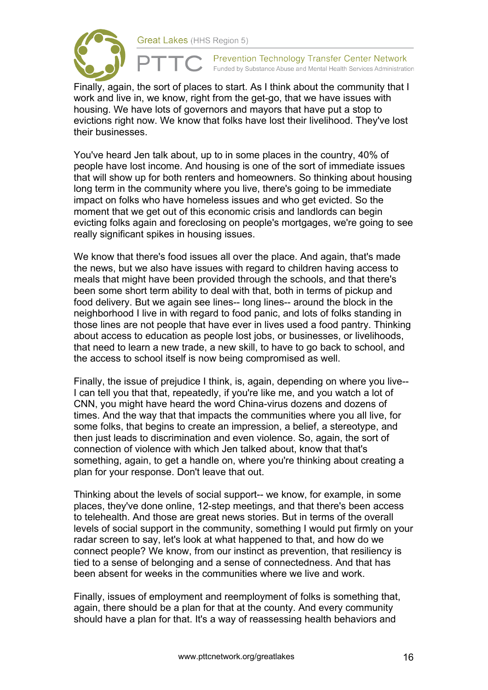

Finally, again, the sort of places to start. As I think about the community that I work and live in, we know, right from the get-go, that we have issues with housing. We have lots of governors and mayors that have put a stop to evictions right now. We know that folks have lost their livelihood. They've lost their businesses.

You've heard Jen talk about, up to in some places in the country, 40% of people have lost income. And housing is one of the sort of immediate issues that will show up for both renters and homeowners. So thinking about housing long term in the community where you live, there's going to be immediate impact on folks who have homeless issues and who get evicted. So the moment that we get out of this economic crisis and landlords can begin evicting folks again and foreclosing on people's mortgages, we're going to see really significant spikes in housing issues.

We know that there's food issues all over the place. And again, that's made the news, but we also have issues with regard to children having access to meals that might have been provided through the schools, and that there's been some short term ability to deal with that, both in terms of pickup and food delivery. But we again see lines-- long lines-- around the block in the neighborhood I live in with regard to food panic, and lots of folks standing in those lines are not people that have ever in lives used a food pantry. Thinking about access to education as people lost jobs, or businesses, or livelihoods, that need to learn a new trade, a new skill, to have to go back to school, and the access to school itself is now being compromised as well.

Finally, the issue of prejudice I think, is, again, depending on where you live-- I can tell you that that, repeatedly, if you're like me, and you watch a lot of CNN, you might have heard the word China-virus dozens and dozens of times. And the way that that impacts the communities where you all live, for some folks, that begins to create an impression, a belief, a stereotype, and then just leads to discrimination and even violence. So, again, the sort of connection of violence with which Jen talked about, know that that's something, again, to get a handle on, where you're thinking about creating a plan for your response. Don't leave that out.

Thinking about the levels of social support-- we know, for example, in some places, they've done online, 12-step meetings, and that there's been access to telehealth. And those are great news stories. But in terms of the overall levels of social support in the community, something I would put firmly on your radar screen to say, let's look at what happened to that, and how do we connect people? We know, from our instinct as prevention, that resiliency is tied to a sense of belonging and a sense of connectedness. And that has been absent for weeks in the communities where we live and work.

Finally, issues of employment and reemployment of folks is something that, again, there should be a plan for that at the county. And every community should have a plan for that. It's a way of reassessing health behaviors and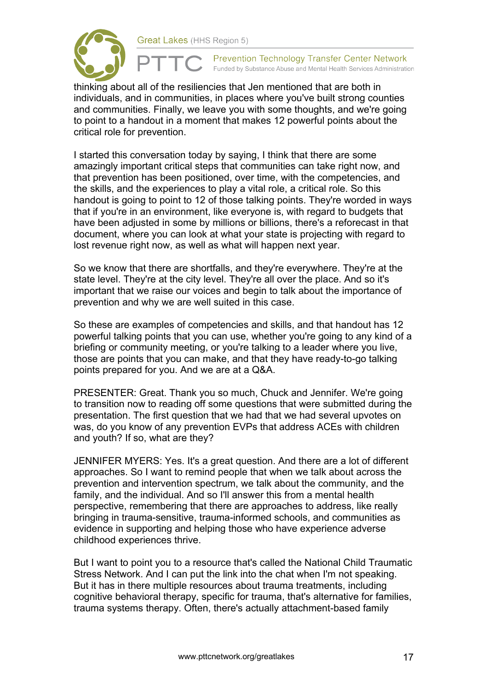

thinking about all of the resiliencies that Jen mentioned that are both in individuals, and in communities, in places where you've built strong counties and communities. Finally, we leave you with some thoughts, and we're going to point to a handout in a moment that makes 12 powerful points about the critical role for prevention.

I started this conversation today by saying, I think that there are some amazingly important critical steps that communities can take right now, and that prevention has been positioned, over time, with the competencies, and the skills, and the experiences to play a vital role, a critical role. So this handout is going to point to 12 of those talking points. They're worded in ways that if you're in an environment, like everyone is, with regard to budgets that have been adjusted in some by millions or billions, there's a reforecast in that document, where you can look at what your state is projecting with regard to lost revenue right now, as well as what will happen next year.

So we know that there are shortfalls, and they're everywhere. They're at the state level. They're at the city level. They're all over the place. And so it's important that we raise our voices and begin to talk about the importance of prevention and why we are well suited in this case.

So these are examples of competencies and skills, and that handout has 12 powerful talking points that you can use, whether you're going to any kind of a briefing or community meeting, or you're talking to a leader where you live, those are points that you can make, and that they have ready-to-go talking points prepared for you. And we are at a Q&A.

PRESENTER: Great. Thank you so much, Chuck and Jennifer. We're going to transition now to reading off some questions that were submitted during the presentation. The first question that we had that we had several upvotes on was, do you know of any prevention EVPs that address ACEs with children and youth? If so, what are they?

JENNIFER MYERS: Yes. It's a great question. And there are a lot of different approaches. So I want to remind people that when we talk about across the prevention and intervention spectrum, we talk about the community, and the family, and the individual. And so I'll answer this from a mental health perspective, remembering that there are approaches to address, like really bringing in trauma-sensitive, trauma-informed schools, and communities as evidence in supporting and helping those who have experience adverse childhood experiences thrive.

But I want to point you to a resource that's called the National Child Traumatic Stress Network. And I can put the link into the chat when I'm not speaking. But it has in there multiple resources about trauma treatments, including cognitive behavioral therapy, specific for trauma, that's alternative for families, trauma systems therapy. Often, there's actually attachment-based family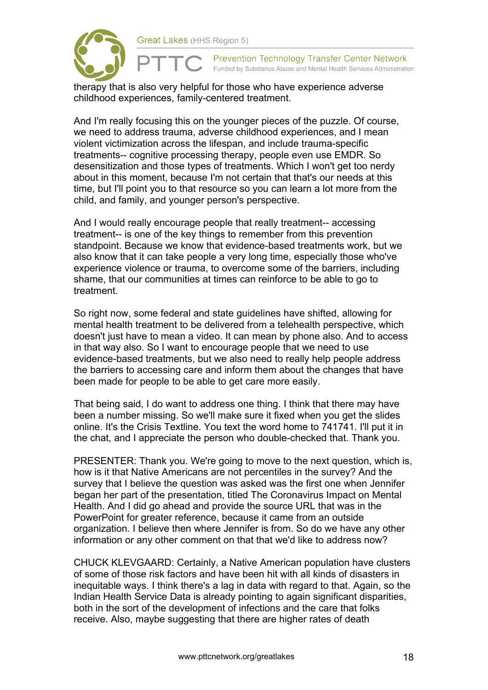

therapy that is also very helpful for those who have experience adverse childhood experiences, family-centered treatment.

And I'm really focusing this on the younger pieces of the puzzle. Of course, we need to address trauma, adverse childhood experiences, and I mean violent victimization across the lifespan, and include trauma-specific treatments-- cognitive processing therapy, people even use EMDR. So desensitization and those types of treatments. Which I won't get too nerdy about in this moment, because I'm not certain that that's our needs at this time, but I'll point you to that resource so you can learn a lot more from the child, and family, and younger person's perspective.

And I would really encourage people that really treatment-- accessing treatment-- is one of the key things to remember from this prevention standpoint. Because we know that evidence-based treatments work, but we also know that it can take people a very long time, especially those who've experience violence or trauma, to overcome some of the barriers, including shame, that our communities at times can reinforce to be able to go to treatment.

So right now, some federal and state guidelines have shifted, allowing for mental health treatment to be delivered from a telehealth perspective, which doesn't just have to mean a video. It can mean by phone also. And to access in that way also. So I want to encourage people that we need to use evidence-based treatments, but we also need to really help people address the barriers to accessing care and inform them about the changes that have been made for people to be able to get care more easily.

That being said, I do want to address one thing. I think that there may have been a number missing. So we'll make sure it fixed when you get the slides online. It's the Crisis Textline. You text the word home to 741741. I'll put it in the chat, and I appreciate the person who double-checked that. Thank you.

PRESENTER: Thank you. We're going to move to the next question, which is, how is it that Native Americans are not percentiles in the survey? And the survey that I believe the question was asked was the first one when Jennifer began her part of the presentation, titled The Coronavirus Impact on Mental Health. And I did go ahead and provide the source URL that was in the PowerPoint for greater reference, because it came from an outside organization. I believe then where Jennifer is from. So do we have any other information or any other comment on that that we'd like to address now?

CHUCK KLEVGAARD: Certainly, a Native American population have clusters of some of those risk factors and have been hit with all kinds of disasters in inequitable ways. I think there's a lag in data with regard to that. Again, so the Indian Health Service Data is already pointing to again significant disparities, both in the sort of the development of infections and the care that folks receive. Also, maybe suggesting that there are higher rates of death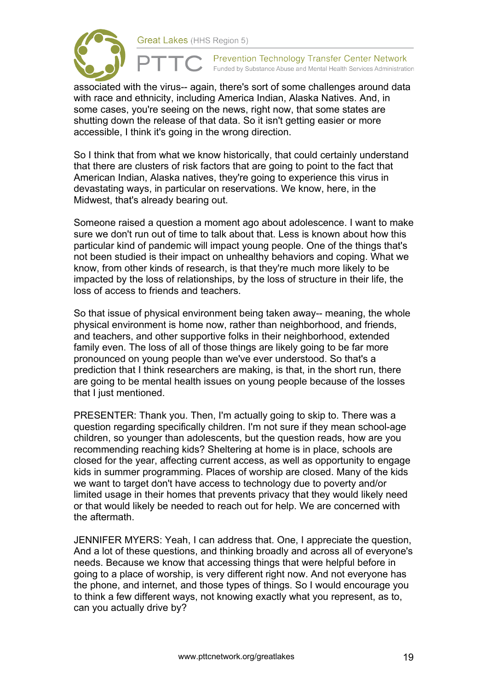

associated with the virus-- again, there's sort of some challenges around data with race and ethnicity, including America Indian, Alaska Natives. And, in some cases, you're seeing on the news, right now, that some states are shutting down the release of that data. So it isn't getting easier or more accessible, I think it's going in the wrong direction.

So I think that from what we know historically, that could certainly understand that there are clusters of risk factors that are going to point to the fact that American Indian, Alaska natives, they're going to experience this virus in devastating ways, in particular on reservations. We know, here, in the Midwest, that's already bearing out.

Someone raised a question a moment ago about adolescence. I want to make sure we don't run out of time to talk about that. Less is known about how this particular kind of pandemic will impact young people. One of the things that's not been studied is their impact on unhealthy behaviors and coping. What we know, from other kinds of research, is that they're much more likely to be impacted by the loss of relationships, by the loss of structure in their life, the loss of access to friends and teachers.

So that issue of physical environment being taken away-- meaning, the whole physical environment is home now, rather than neighborhood, and friends, and teachers, and other supportive folks in their neighborhood, extended family even. The loss of all of those things are likely going to be far more pronounced on young people than we've ever understood. So that's a prediction that I think researchers are making, is that, in the short run, there are going to be mental health issues on young people because of the losses that I just mentioned.

PRESENTER: Thank you. Then, I'm actually going to skip to. There was a question regarding specifically children. I'm not sure if they mean school-age children, so younger than adolescents, but the question reads, how are you recommending reaching kids? Sheltering at home is in place, schools are closed for the year, affecting current access, as well as opportunity to engage kids in summer programming. Places of worship are closed. Many of the kids we want to target don't have access to technology due to poverty and/or limited usage in their homes that prevents privacy that they would likely need or that would likely be needed to reach out for help. We are concerned with the aftermath.

JENNIFER MYERS: Yeah, I can address that. One, I appreciate the question, And a lot of these questions, and thinking broadly and across all of everyone's needs. Because we know that accessing things that were helpful before in going to a place of worship, is very different right now. And not everyone has the phone, and internet, and those types of things. So I would encourage you to think a few different ways, not knowing exactly what you represent, as to, can you actually drive by?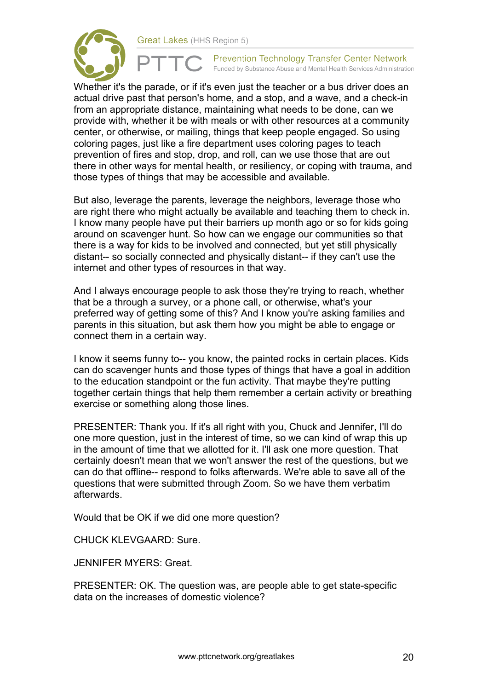

**Prevention Technology Transfer Center Network** Funded by Substance Abuse and Mental Health Services Administration

Whether it's the parade, or if it's even just the teacher or a bus driver does an actual drive past that person's home, and a stop, and a wave, and a check-in from an appropriate distance, maintaining what needs to be done, can we provide with, whether it be with meals or with other resources at a community center, or otherwise, or mailing, things that keep people engaged. So using coloring pages, just like a fire department uses coloring pages to teach prevention of fires and stop, drop, and roll, can we use those that are out there in other ways for mental health, or resiliency, or coping with trauma, and those types of things that may be accessible and available.

But also, leverage the parents, leverage the neighbors, leverage those who are right there who might actually be available and teaching them to check in. I know many people have put their barriers up month ago or so for kids going around on scavenger hunt. So how can we engage our communities so that there is a way for kids to be involved and connected, but yet still physically distant-- so socially connected and physically distant-- if they can't use the internet and other types of resources in that way.

And I always encourage people to ask those they're trying to reach, whether that be a through a survey, or a phone call, or otherwise, what's your preferred way of getting some of this? And I know you're asking families and parents in this situation, but ask them how you might be able to engage or connect them in a certain way.

I know it seems funny to-- you know, the painted rocks in certain places. Kids can do scavenger hunts and those types of things that have a goal in addition to the education standpoint or the fun activity. That maybe they're putting together certain things that help them remember a certain activity or breathing exercise or something along those lines.

PRESENTER: Thank you. If it's all right with you, Chuck and Jennifer, I'll do one more question, just in the interest of time, so we can kind of wrap this up in the amount of time that we allotted for it. I'll ask one more question. That certainly doesn't mean that we won't answer the rest of the questions, but we can do that offline-- respond to folks afterwards. We're able to save all of the questions that were submitted through Zoom. So we have them verbatim afterwards.

Would that be OK if we did one more question?

CHUCK KLEVGAARD: Sure.

JENNIFER MYERS: Great.

PRESENTER: OK. The question was, are people able to get state-specific data on the increases of domestic violence?